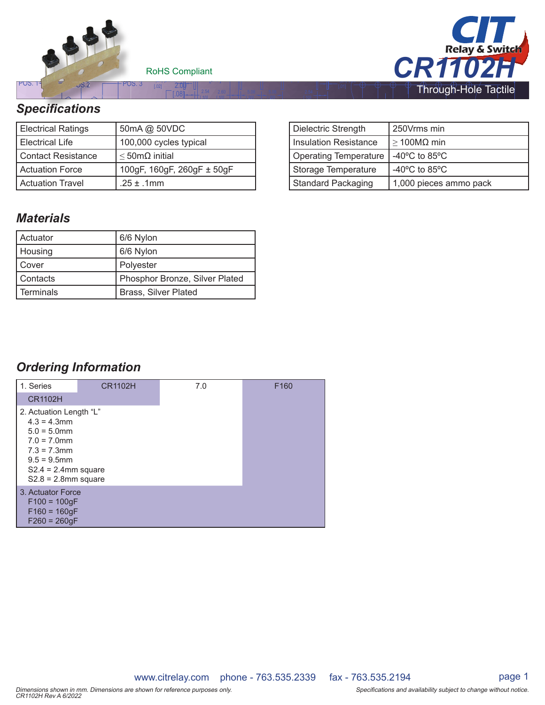

RoHS Compliant

(2x) process  $\ddot{0}$ .

[.10]

[ 10]

[ 20]

[ 20]

[ 10]

(2X) 0.30



## *Specifi cations cifications*

| <b>Electrical Ratings</b> | 50mA @ 50VDC                |  |
|---------------------------|-----------------------------|--|
| l Electrical Life         | 100,000 cycles typical      |  |
| Contact Resistance        | $\leq$ 50m $\Omega$ initial |  |
| <b>Actuation Force</b>    | 100gF, 160gF, 260gF ± 50gF  |  |
| Actuation Travel          | .25 $\pm$ .1mm              |  |

## *Materials*

| l Actuator  | 6/6 Nylon                      |  |
|-------------|--------------------------------|--|
| Housing     | 6/6 Nylon                      |  |
| Cover       | Polyester                      |  |
| Contacts    | Phosphor Bronze, Silver Plated |  |
| l Terminals | Brass, Silver Plated           |  |

| Dielectric Strength          | 250Vrms min                       |  |
|------------------------------|-----------------------------------|--|
| <b>Insulation Resistance</b> | $\geq$ 100MΩ min                  |  |
| <b>Operating Temperature</b> | -40 $\degree$ C to 85 $\degree$ C |  |
| Storage Temperature          | -40 $\degree$ C to 85 $\degree$ C |  |
| Standard Packaging           | 1,000 pieces ammo pack            |  |

## *Ordering Information*

| 1. Series<br><b>CR1102H</b>                                                                                                                                           | <b>CR1102H</b> | 7.0 | F <sub>160</sub> |
|-----------------------------------------------------------------------------------------------------------------------------------------------------------------------|----------------|-----|------------------|
| 2. Actuation Length "L"<br>$4.3 = 4.3$ mm<br>$5.0 = 5.0$ mm<br>$7.0 = 7.0$ mm<br>$7.3 = 7.3$ mm<br>$9.5 = 9.5$ mm<br>$S2.4 = 2.4$ mm square<br>$S2.8 = 2.8$ mm square |                |     |                  |
| 3. Actuator Force<br>$F100 = 100$ gF<br>$F160 = 160gF$<br>$F260 = 260qF$                                                                                              |                |     |                  |